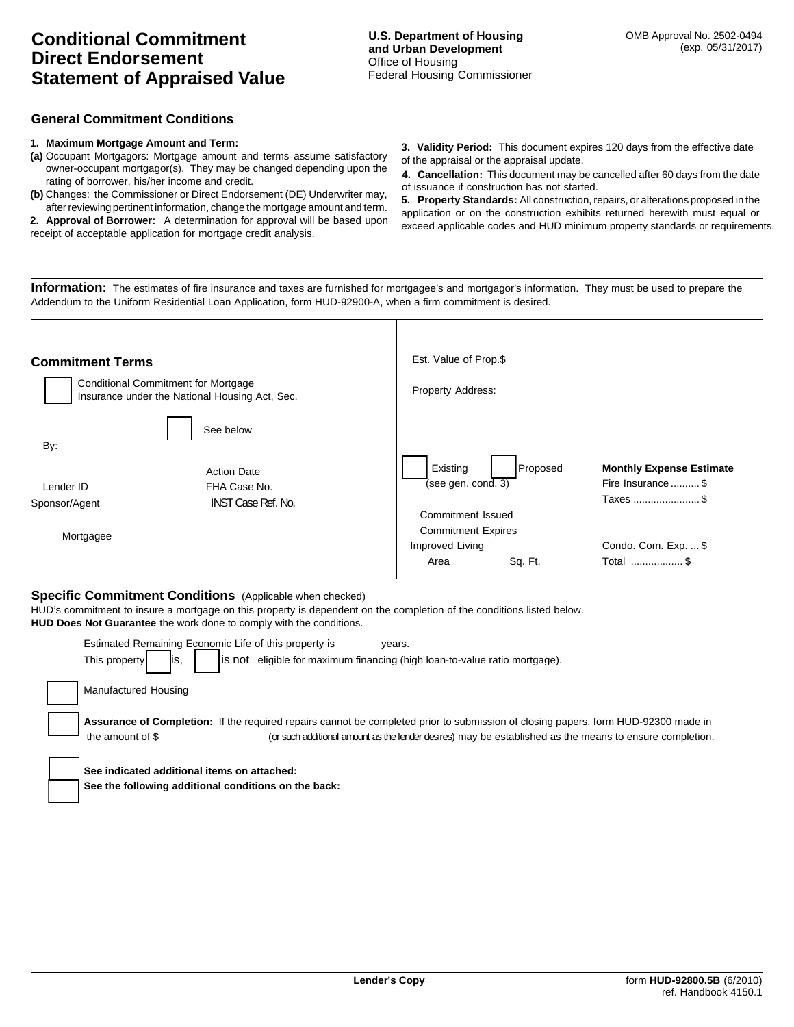## **General Commitment Conditions**

#### **1. Maximum Mortgage Amount and Term:**

- **(a)** Occupant Mortgagors: Mortgage amount and terms assume satisfactory owner-occupant mortgagor(s). They may be changed depending upon the rating of borrower, his/her income and credit.
- **(b)** Changes: the Commissioner or Direct Endorsement (DE) Underwriter may, after reviewing pertinent information, change the mortgage amount and term.

**2. Approval of Borrower:** A determination for approval will be based upon receipt of acceptable application for mortgage credit analysis.

**3. Validity Period:** This document expires 120 days from the effective date of the appraisal or the appraisal update.

**4. Cancellation:** This document may be cancelled after 60 days from the date of issuance if construction has not started.

**5. Property Standards:** All construction, repairs, or alterations proposed in the application or on the construction exhibits returned herewith must equal or exceed applicable codes and HUD minimum property standards or requirements.

**Information:** The estimates of fire insurance and taxes are furnished for mortgagee's and mortgagor's information. They must be used to prepare the Addendum to the Uniform Residential Loan Application, form HUD-92900-A, when a firm commitment is desired.

| <b>Commitment Terms</b>                                                                      |                                 | Est. Value of Prop.\$                                       |                                   |  |  |
|----------------------------------------------------------------------------------------------|---------------------------------|-------------------------------------------------------------|-----------------------------------|--|--|
| <b>Conditional Commitment for Mortgage</b><br>Insurance under the National Housing Act, Sec. |                                 | Property Address:                                           |                                   |  |  |
| By:                                                                                          | See below<br><b>Action Date</b> | Existing<br>Proposed                                        | <b>Monthly Expense Estimate</b>   |  |  |
| Lender ID                                                                                    | FHA Case No.                    | (see gen. cond. 3)                                          | Fire Insurance \$                 |  |  |
| <b>INST Case Ref. No.</b><br>Sponsor/Agent<br>Mortgagee                                      |                                 | Taxes  \$<br>Commitment Issued<br><b>Commitment Expires</b> |                                   |  |  |
|                                                                                              |                                 | Improved Living<br>Sq. Ft.<br>Area                          | Condo. Com. Exp.  \$<br>Total  \$ |  |  |

## **Specific Commitment Conditions** (Applicable when checked)

HUD's commitment to insure a mortgage on this property is dependent on the completion of the conditions listed below. **HUD Does Not Guarantee** the work done to comply with the conditions.

| Estimated Remaining Economic Life of this property is<br>years.<br>is not eligible for maximum financing (high loan-to-value ratio mortgage).<br>This property<br>ΙS,                                                                                                    |
|--------------------------------------------------------------------------------------------------------------------------------------------------------------------------------------------------------------------------------------------------------------------------|
| Manufactured Housing                                                                                                                                                                                                                                                     |
| <b>Assurance of Completion:</b> If the required repairs cannot be completed prior to submission of closing papers, form HUD-92300 made in<br>(or such additional amount as the lender desires) may be established as the means to ensure completion.<br>the amount of \$ |
| See indicated additional items on attached:<br>See the following additional conditions on the back:                                                                                                                                                                      |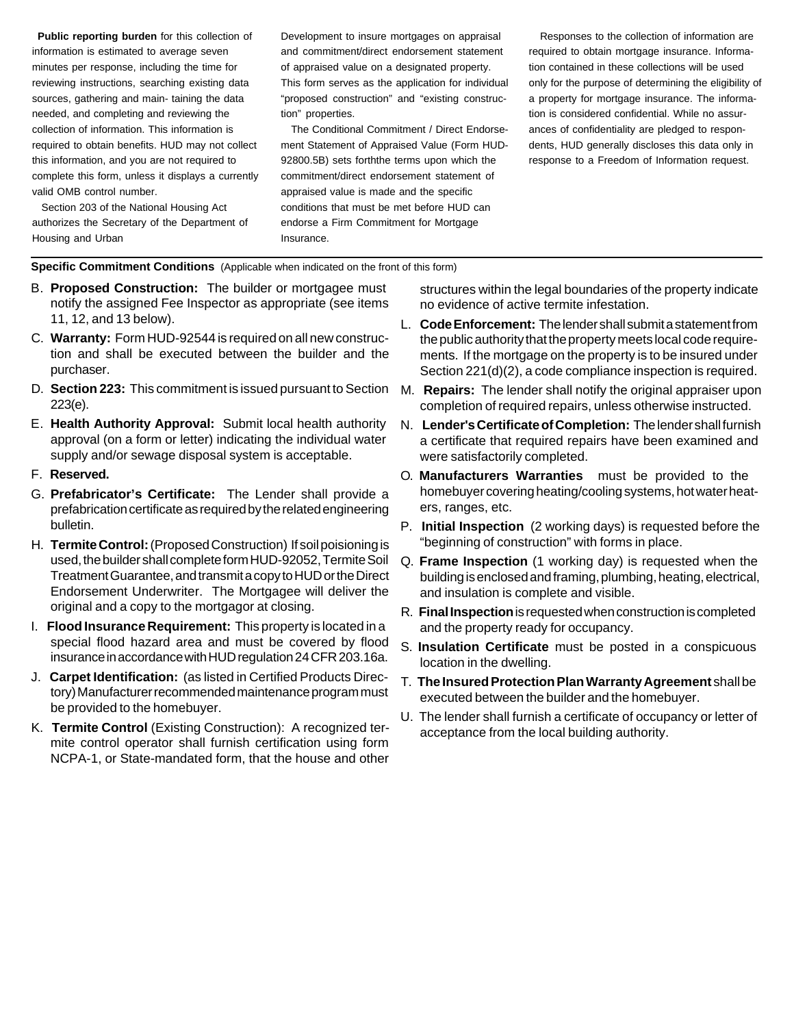**Public reporting burden** for this collection of information is estimated to average seven minutes per response, including the time for reviewing instructions, searching existing data sources, gathering and main- taining the data needed, and completing and reviewing the collection of information. This information is required to obtain benefits. HUD may not collect this information, and you are not required to complete this form, unless it displays a currently valid OMB control number.

Section 203 of the National Housing Act authorizes the Secretary of the Department of Housing and Urban

Development to insure mortgages on appraisal and commitment/direct endorsement statement of appraised value on a designated property. This form serves as the application for individual "proposed construction" and "existing construction" properties.

The Conditional Commitment / Direct Endorsement Statement of Appraised Value (Form HUD-92800.5B) sets forththe terms upon which the commitment/direct endorsement statement of appraised value is made and the specific conditions that must be met before HUD can endorse a Firm Commitment for Mortgage Insurance.

Responses to the collection of information are required to obtain mortgage insurance. Information contained in these collections will be used only for the purpose of determining the eligibility of a property for mortgage insurance. The information is considered confidential. While no assurances of confidentiality are pledged to respondents, HUD generally discloses this data only in response to a Freedom of Information request.

### **Specific Commitment Conditions** (Applicable when indicated on the front of this form)

- B. **Proposed Construction:** The builder or mortgagee must notify the assigned Fee Inspector as appropriate (see items 11,12,and13below).
- C. **Warranty:** Form HUD-92544is requiredonallnew construction and shall be executed between the builder and the purchaser.
- **D. Section 223: This commitment is issued pursuant to Section** 223(e).
- E. **Health Authority Approval:** Submit local health authority approval (on a form or letter) indicating the individual water supply and/or sewage disposal system is acceptable.
- F. **Reserved.**
- G. **Prefabricator's Certificate:** The Lender shall provide a prefabrication certificate as required by the related engineering bulletin.
- H. **TermiteControl:**(ProposedConstruction) If soilpoisioningis used, the builder shall complete form HUD-92052, Termite Soil Treatment Guarantee, and transmit a copy to HUD or the Direct Endorsement Underwriter. The Mortgagee will deliver the original and a copy to the mortgagor at closing.
- I. **Flood Insurance Requirement:** Thisproperty is locatedina special flood hazard area and must be covered by flood insuranceinaccordancewithHUDregulation24CFR203.16a.
- J. **Carpet Identification:** (as listedin Certified Products Directory) Manufacturer recommended maintenance program must be provided to the homebuyer.
- K. **Termite Control** (Existing Construction): A recognized termite control operator shall furnish certification using form NCPA-1, or State-mandated form, that the house and other

structures within the legal boundaries of the property indicate no evidence of active termite infestation.

- L. **CodeEnforcement:** Thelendershallsubmitastatementfrom the public authority that the property meets local code requirements. If the mortgage on the property is to be insured under Section  $221(d)(2)$ , a code compliance inspection is required.
- M. **Repairs:** The lender shall notify the original appraiser upon completion of required repairs, unless otherwise instructed.
- N. **Lender'sCertificateofCompletion:** Thelender shallfurnish a certificate that required repairs have been examined and were satisfactorily completed.
- O. **Manufacturers Warranties** must be provided to the homebuyer covering heating/cooling systems, hot water heaters, ranges, etc.
- P. **Initial Inspection** (2 working days) is requested before the "beginning of construction" with forms in place.
- Q. **Frame Inspection** (1 working day) is requested when the building is enclosed and framing, plumbing, heating, electrical, and insulation is complete and visible.
- R. **FinalInspection**isrequestedwhenconstructioniscompleted and the property ready for occupancy.
- S. **Insulation Certificate** must be posted in a conspicuous location in the dwelling.
- T. **The Insured Protection Plan Warranty Agreement** shall be executed between the builder and the homebuyer.
- U. The lender shall furnish a certificate of occupancy or letter of acceptance from the local building authority.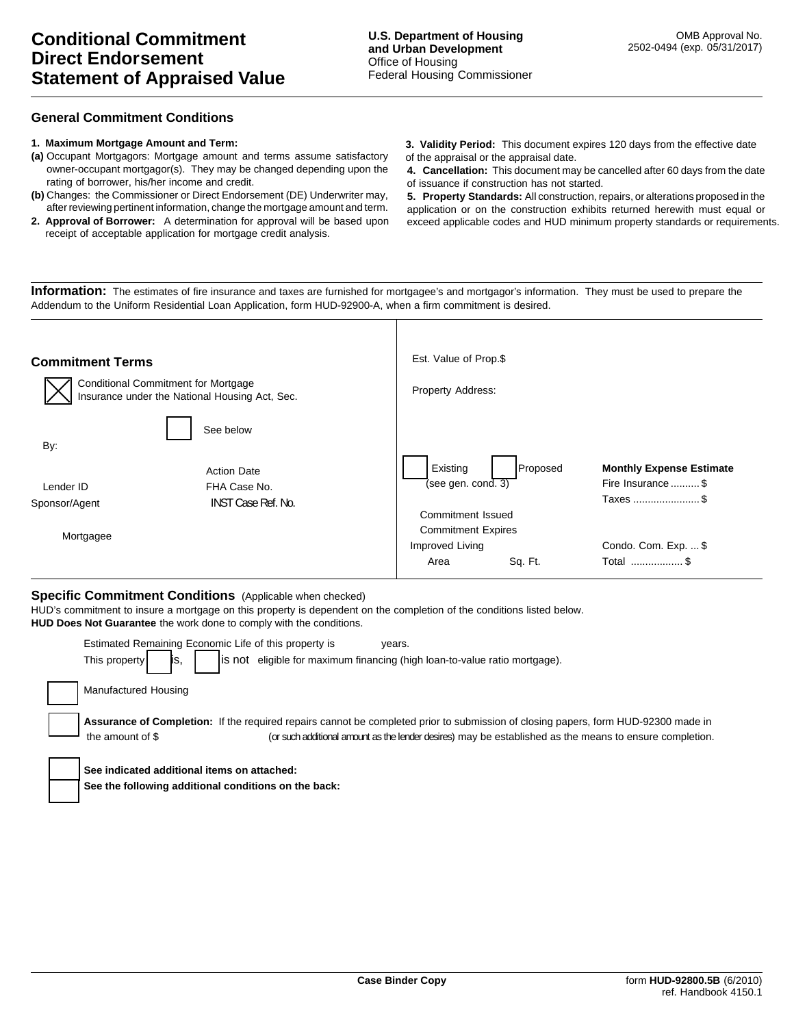## **General Commitment Conditions**

#### **1. Maximum Mortgage Amount and Term:**

- **(a)** Occupant Mortgagors: Mortgage amount and terms assume satisfactory owner-occupant mortgagor(s). They may be changed depending upon the rating of borrower, his/her income and credit.
- **(b)** Changes: the Commissioner or Direct Endorsement (DE) Underwriter may, after reviewing pertinent information, change the mortgage amount and term.
- **2. Approval of Borrower:** A determination for approval will be based upon receipt of acceptable application for mortgage credit analysis.
- **3. Validity Period:** This document expires 120 days from the effective date of the appraisal or the appraisal date.
- **4. Cancellation:** This document may be cancelled after 60 days from the date of issuance if construction has not started.

**5. Property Standards:** All construction, repairs, or alterations proposed in the application or on the construction exhibits returned herewith must equal or exceed applicable codes and HUD minimum property standards or requirements.

**Information:** The estimates of fire insurance and taxes are furnished for mortgagee's and mortgagor's information. They must be used to prepare the Addendum to the Uniform Residential Loan Application, form HUD-92900-A, when a firm commitment is desired.

| <b>Commitment Terms</b>                                                               | Est. Value of Prop.\$                          |                                 |  |
|---------------------------------------------------------------------------------------|------------------------------------------------|---------------------------------|--|
| Conditional Commitment for Mortgage<br>Insurance under the National Housing Act, Sec. | Property Address:                              |                                 |  |
| See below<br>By:                                                                      |                                                |                                 |  |
| <b>Action Date</b>                                                                    | Existing<br>Proposed                           | <b>Monthly Expense Estimate</b> |  |
| FHA Case No.<br>Lender ID                                                             | $\sqrt{(\text{see gen. cond. 3})}$             | Fire Insurance  \$              |  |
| <b>INST Case Ref. No.</b><br>Sponsor/Agent                                            | Commitment Issued<br><b>Commitment Expires</b> | Taxes \$                        |  |
| Mortgagee                                                                             | Improved Living                                | Condo. Com. Exp.  \$            |  |
|                                                                                       | Sq. Ft.<br>Area                                | Total  \$                       |  |

## **Specific Commitment Conditions** (Applicable when checked)

HUD's commitment to insure a mortgage on this property is dependent on the completion of the conditions listed below. **HUD Does Not Guarantee** the work done to comply with the conditions.

| Estimated Remaining Economic Life of this property is<br>years.                                                                    |
|------------------------------------------------------------------------------------------------------------------------------------|
| is not eligible for maximum financing (high loan-to-value ratio mortgage).<br>This property<br>IS.                                 |
| Manufactured Housing                                                                                                               |
| Assurance of Completion: If the required repairs cannot be completed prior to submission of closing papers, form HUD-92300 made in |
| (or such additional amount as the lender desires) may be established as the means to ensure completion.<br>the amount of \$        |
| See indicated additional items on attached:                                                                                        |
|                                                                                                                                    |
| See the following additional conditions on the back:                                                                               |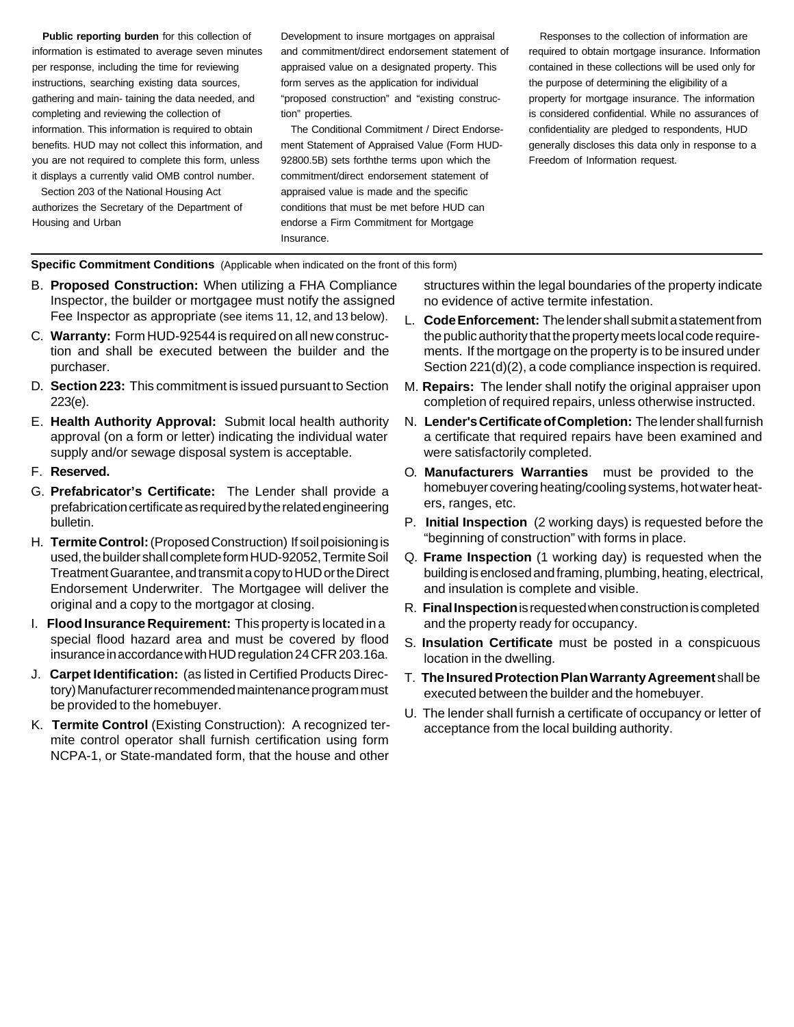**Public reporting burden** for this collection of information is estimated to average seven minutes per response, including the time for reviewing instructions, searching existing data sources, gathering and main- taining the data needed, and completing and reviewing the collection of information. This information is required to obtain benefits. HUD may not collect this information, and you are not required to complete this form, unless it displays a currently valid OMB control number.

Section 203 of the National Housing Act authorizes the Secretary of the Department of Housing and Urban

Development to insure mortgages on appraisal and commitment/direct endorsement statement of appraised value on a designated property. This form serves as the application for individual "proposed construction" and "existing construction" properties.

The Conditional Commitment / Direct Endorsement Statement of Appraised Value (Form HUD-92800.5B) sets forththe terms upon which the commitment/direct endorsement statement of appraised value is made and the specific conditions that must be met before HUD can endorse a Firm Commitment for Mortgage Insurance.

Responses to the collection of information are required to obtain mortgage insurance. Information contained in these collections will be used only for the purpose of determining the eligibility of a property for mortgage insurance. The information is considered confidential. While no assurances of confidentiality are pledged to respondents, HUD generally discloses this data only in response to a Freedom of Information request.

# **Specific Commitment Conditions** (Applicable when indicated on the front of this form)

- B. **Proposed Construction:** When utilizing a FHA Compliance Inspector, the builder or mortgagee must notify the assigned Fee Inspector as appropriate (see items 11, 12, and 13 below).
- C. **Warranty:** Form HUD-92544is requiredonallnew construction and shall be executed between the builder and the purchaser.
- **D. Section 223: This commitment is issued pursuant to Section** 223(e).
- E. **Health Authority Approval:** Submit local health authority approval (on a form or letter) indicating the individual water supply and/or sewage disposal system is acceptable.
- F. **Reserved.**
- G. **Prefabricator's Certificate:** The Lender shall provide a prefabrication certificate as required by the related engineering bulletin.
- H. **TermiteControl:**(ProposedConstruction) If soilpoisioningis used, the builder shall complete form HUD-92052, Termite Soil TreatmentGuarantee,andtransmitacopytoHUDortheDirect Endorsement Underwriter. The Mortgagee will deliver the original and a copy to the mortgagor at closing.
- I. **Flood Insurance Requirement:** Thisproperty is locatedina special flood hazard area and must be covered by flood insurance in accordance with HUD regulation 24 CFR 203.16a.
- J. **Carpet Identification:** (as listedin Certified Products Directory) Manufacturer recommended maintenance program must be provided to the homebuyer.
- K. **Termite Control** (Existing Construction): A recognized termite control operator shall furnish certification using form NCPA-1, or State-mandated form, that the house and other

structures within the legal boundaries of the property indicate no evidence of active termite infestation.

- L. **CodeEnforcement:** Thelendershallsubmitastatementfrom the public authority that the property meets local code requirements. If the mortgage on the property is to be insured under Section  $221(d)(2)$ , a code compliance inspection is required.
- M. **Repairs:** The lender shall notify the original appraiser upon completion of required repairs, unless otherwise instructed.
- N. **Lender'sCertificateofCompletion:** Thelender shallfurnish a certificate that required repairs have been examined and were satisfactorily completed.
- O. **Manufacturers Warranties** must be provided to the homebuyer covering heating/cooling systems, hot water heaters, ranges, etc.
- P. **Initial Inspection** (2 working days) is requested before the "beginning of construction" with forms in place.
- Q. **Frame Inspection** (1 working day) is requested when the building is enclosed and framing, plumbing, heating, electrical, and insulation is complete and visible.
- R. **FinalInspection**isrequestedwhenconstructioniscompleted and the property ready for occupancy.
- S. **Insulation Certificate** must be posted in a conspicuous location in the dwelling.
- T. The Insured Protection Plan Warranty Agreement shall be executed between the builder and the homebuyer.
- U. The lender shall furnish a certificate of occupancy or letter of acceptance from the local building authority.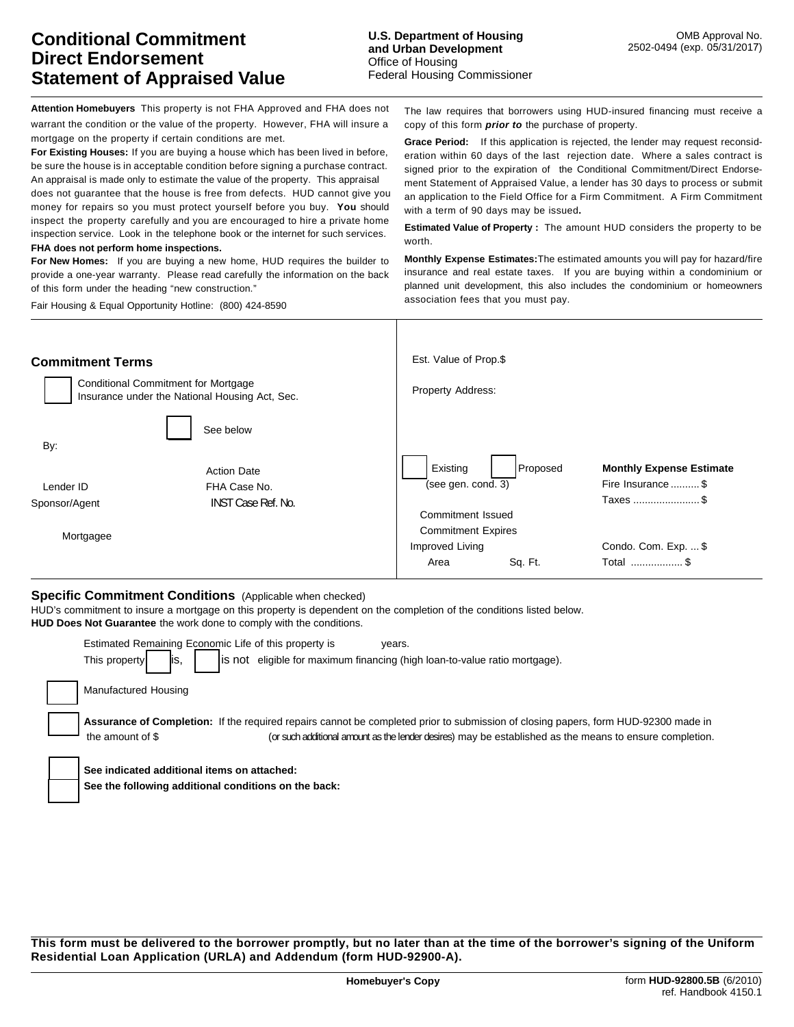**FHA does not perform home inspections.**

of this form under the heading "new construction." Fair Housing & Equal Opportunity Hotline: (800) 424-8590

**Attention Homebuyers** This property is not FHA Approved and FHA does not warrant the condition or the value of the property. However, FHA will insure a mortgage on the property if certain conditions are met. **For Existing Houses:** If you are buying a house which has been lived in before, be sure the house is in acceptable condition before signing a purchase contract. An appraisal is made only to estimate the value of the property. This appraisal does not guarantee that the house is free from defects. HUD cannot give you money for repairs so you must protect yourself before you buy. **You** should inspect the property carefully and you are encouraged to hire a private home The law requires that borrowers using HUD-insured financing must receive a copy of this form *prior to* the purchase of property. **Grace Period:** If this application is rejected, the lender may request reconsideration within 60 days of the last rejection date. Where a sales contract is signed prior to the expiration of the Conditional Commitment/Direct Endorsement Statement of Appraised Value, a lender has 30 days to process or submit an application to the Field Office for a Firm Commitment. A Firm Commitment with a term of 90 days may be issued**.**

**Estimated Value of Property :** The amount HUD considers the property to be worth.

**Monthly Expense Estimates:** The estimated amounts you will pay for hazard/fire insurance and real estate taxes. If you are buying within a condominium or planned unit development, this also includes the condominium or homeowners association fees that you must pay.

| <b>Commitment Terms</b>                                                                      |                           | Est. Value of Prop.\$     |          |                                 |
|----------------------------------------------------------------------------------------------|---------------------------|---------------------------|----------|---------------------------------|
| <b>Conditional Commitment for Mortgage</b><br>Insurance under the National Housing Act, Sec. |                           | Property Address:         |          |                                 |
| By:                                                                                          | See below                 |                           |          |                                 |
|                                                                                              | <b>Action Date</b>        | Existing                  | Proposed | <b>Monthly Expense Estimate</b> |
| Lender ID                                                                                    | FHA Case No.              | (see gen. cond. 3)        |          | Fire Insurance  \$              |
| Sponsor/Agent                                                                                | <b>INST Case Ref. No.</b> |                           |          | Taxes \$                        |
|                                                                                              |                           | Commitment Issued         |          |                                 |
| Mortgagee                                                                                    |                           | <b>Commitment Expires</b> |          |                                 |
|                                                                                              |                           | Improved Living           |          | Condo. Com. Exp.  \$            |
|                                                                                              |                           | Area                      | Sq. Ft.  | Total  \$                       |

## **Specific Commitment Conditions** (Applicable when checked)

inspection service. Look in the telephone book or the internet for such services.

**For New Homes:** If you are buying a new home, HUD requires the builder to provide a one-year warranty. Please read carefully the information on the back

HUD's commitment to insure a mortgage on this property is dependent on the completion of the conditions listed below. **HUD Does Not Guarantee** the work done to comply with the conditions.

| Estimated Remaining Economic Life of this property is<br>years.<br>eligible for maximum financing (high loan-to-value ratio mortgage).<br>This property<br>lis not<br>ΙS,                                                                                         |
|-------------------------------------------------------------------------------------------------------------------------------------------------------------------------------------------------------------------------------------------------------------------|
| Manufactured Housing                                                                                                                                                                                                                                              |
| Assurance of Completion: If the required repairs cannot be completed prior to submission of closing papers, form HUD-92300 made in<br>(or such additional amount as the lender desires) may be established as the means to ensure completion.<br>the amount of \$ |
| See indicated additional items on attached:                                                                                                                                                                                                                       |
| See the following additional conditions on the back:                                                                                                                                                                                                              |
|                                                                                                                                                                                                                                                                   |

**This form must be delivered to the borrower promptly, but no later than at the time of the borrower's signing of the Uniform Residential Loan Application (URLA) and Addendum (form HUD-92900-A).**